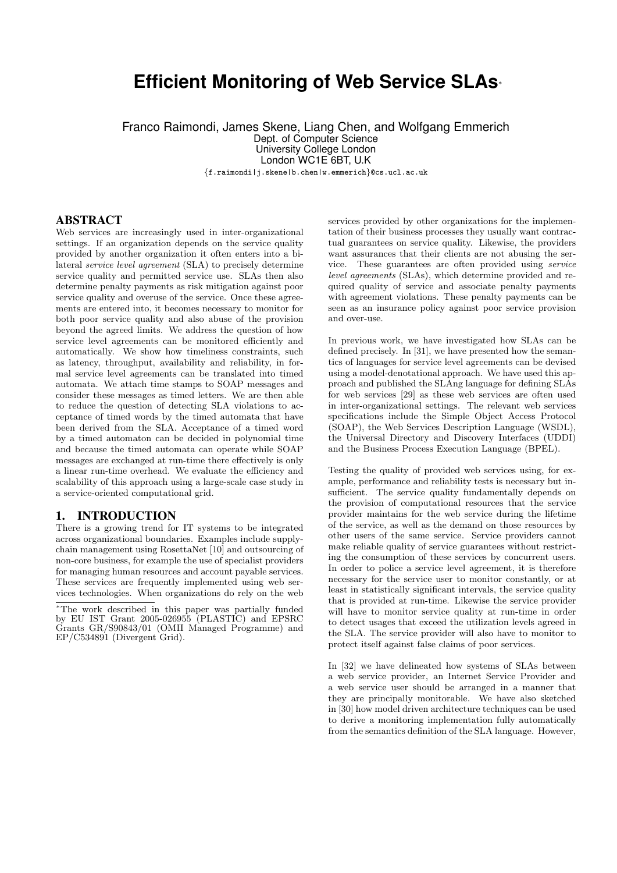# **Efficient Monitoring of Web Service SLAs**<sup>∗</sup>

Franco Raimondi, James Skene, Liang Chen, and Wolfgang Emmerich Dept. of Computer Science University College London London WC1E 6BT, U.K

{f.raimondi|j.skene|b.chen|w.emmerich}@cs.ucl.ac.uk

### ABSTRACT

Web services are increasingly used in inter-organizational settings. If an organization depends on the service quality provided by another organization it often enters into a bilateral service level agreement (SLA) to precisely determine service quality and permitted service use. SLAs then also determine penalty payments as risk mitigation against poor service quality and overuse of the service. Once these agreements are entered into, it becomes necessary to monitor for both poor service quality and also abuse of the provision beyond the agreed limits. We address the question of how service level agreements can be monitored efficiently and automatically. We show how timeliness constraints, such as latency, throughput, availability and reliability, in formal service level agreements can be translated into timed automata. We attach time stamps to SOAP messages and consider these messages as timed letters. We are then able to reduce the question of detecting SLA violations to acceptance of timed words by the timed automata that have been derived from the SLA. Acceptance of a timed word by a timed automaton can be decided in polynomial time and because the timed automata can operate while SOAP messages are exchanged at run-time there effectively is only a linear run-time overhead. We evaluate the efficiency and scalability of this approach using a large-scale case study in a service-oriented computational grid.

### 1. INTRODUCTION

There is a growing trend for IT systems to be integrated across organizational boundaries. Examples include supplychain management using RosettaNet [10] and outsourcing of non-core business, for example the use of specialist providers for managing human resources and account payable services. These services are frequently implemented using web services technologies. When organizations do rely on the web

services provided by other organizations for the implementation of their business processes they usually want contractual guarantees on service quality. Likewise, the providers want assurances that their clients are not abusing the service. These guarantees are often provided using service level agreements (SLAs), which determine provided and required quality of service and associate penalty payments with agreement violations. These penalty payments can be seen as an insurance policy against poor service provision and over-use.

In previous work, we have investigated how SLAs can be defined precisely. In [31], we have presented how the semantics of languages for service level agreements can be devised using a model-denotational approach. We have used this approach and published the SLAng language for defining SLAs for web services [29] as these web services are often used in inter-organizational settings. The relevant web services specifications include the Simple Object Access Protocol (SOAP), the Web Services Description Language (WSDL), the Universal Directory and Discovery Interfaces (UDDI) and the Business Process Execution Language (BPEL).

Testing the quality of provided web services using, for example, performance and reliability tests is necessary but insufficient. The service quality fundamentally depends on the provision of computational resources that the service provider maintains for the web service during the lifetime of the service, as well as the demand on those resources by other users of the same service. Service providers cannot make reliable quality of service guarantees without restricting the consumption of these services by concurrent users. In order to police a service level agreement, it is therefore necessary for the service user to monitor constantly, or at least in statistically significant intervals, the service quality that is provided at run-time. Likewise the service provider will have to monitor service quality at run-time in order to detect usages that exceed the utilization levels agreed in the SLA. The service provider will also have to monitor to protect itself against false claims of poor services.

In [32] we have delineated how systems of SLAs between a web service provider, an Internet Service Provider and a web service user should be arranged in a manner that they are principally monitorable. We have also sketched in [30] how model driven architecture techniques can be used to derive a monitoring implementation fully automatically from the semantics definition of the SLA language. However,

<sup>∗</sup>The work described in this paper was partially funded by EU IST Grant 2005-026955 (PLASTIC) and EPSRC Grants GR/S90843/01 (OMII Managed Programme) and EP/C534891 (Divergent Grid).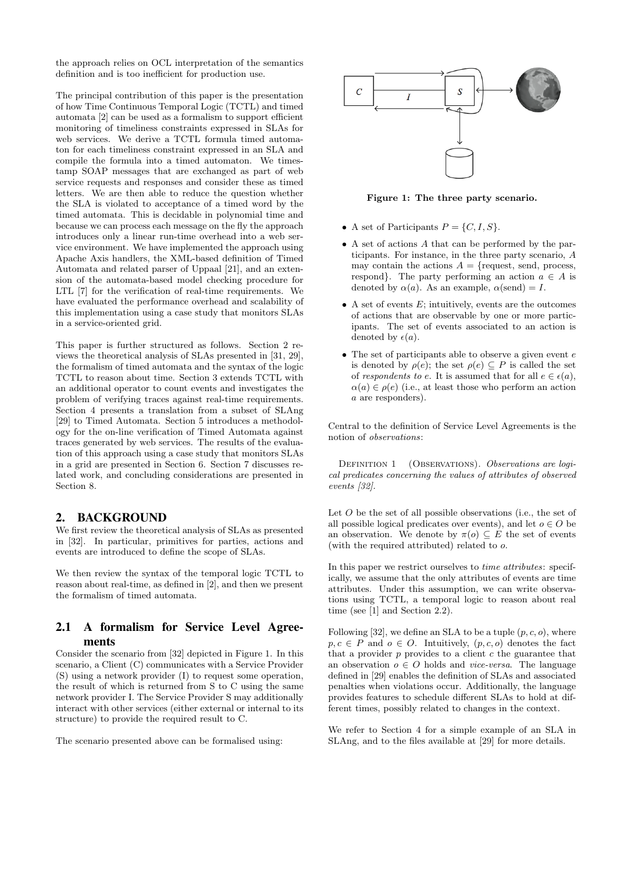the approach relies on OCL interpretation of the semantics definition and is too inefficient for production use.

The principal contribution of this paper is the presentation of how Time Continuous Temporal Logic (TCTL) and timed automata [2] can be used as a formalism to support efficient monitoring of timeliness constraints expressed in SLAs for web services. We derive a TCTL formula timed automaton for each timeliness constraint expressed in an SLA and compile the formula into a timed automaton. We timestamp SOAP messages that are exchanged as part of web service requests and responses and consider these as timed letters. We are then able to reduce the question whether the SLA is violated to acceptance of a timed word by the timed automata. This is decidable in polynomial time and because we can process each message on the fly the approach introduces only a linear run-time overhead into a web service environment. We have implemented the approach using Apache Axis handlers, the XML-based definition of Timed Automata and related parser of Uppaal [21], and an extension of the automata-based model checking procedure for LTL [7] for the verification of real-time requirements. We have evaluated the performance overhead and scalability of this implementation using a case study that monitors SLAs in a service-oriented grid.

This paper is further structured as follows. Section 2 reviews the theoretical analysis of SLAs presented in [31, 29], the formalism of timed automata and the syntax of the logic TCTL to reason about time. Section 3 extends TCTL with an additional operator to count events and investigates the problem of verifying traces against real-time requirements. Section 4 presents a translation from a subset of SLAng [29] to Timed Automata. Section 5 introduces a methodology for the on-line verification of Timed Automata against traces generated by web services. The results of the evaluation of this approach using a case study that monitors SLAs in a grid are presented in Section 6. Section 7 discusses related work, and concluding considerations are presented in Section 8.

# 2. BACKGROUND

We first review the theoretical analysis of SLAs as presented in [32]. In particular, primitives for parties, actions and events are introduced to define the scope of SLAs.

We then review the syntax of the temporal logic TCTL to reason about real-time, as defined in [2], and then we present the formalism of timed automata.

## 2.1 A formalism for Service Level Agreements

Consider the scenario from [32] depicted in Figure 1. In this scenario, a Client (C) communicates with a Service Provider (S) using a network provider (I) to request some operation, the result of which is returned from S to C using the same network provider I. The Service Provider S may additionally interact with other services (either external or internal to its structure) to provide the required result to C.

The scenario presented above can be formalised using:



Figure 1: The three party scenario.

- A set of Participants  $P = \{C, I, S\}.$
- A set of actions A that can be performed by the participants. For instance, in the three party scenario, A may contain the actions  $A = \{$ request, send, process, respond}. The party performing an action  $a \in A$  is denoted by  $\alpha(a)$ . As an example,  $\alpha(\text{send}) = I$ .
- A set of events  $E$ ; intuitively, events are the outcomes of actions that are observable by one or more participants. The set of events associated to an action is denoted by  $\epsilon(a)$ .
- $\bullet$  The set of participants able to observe a given event  $e$ is denoted by  $\rho(e)$ ; the set  $\rho(e) \subseteq P$  is called the set of respondents to e. It is assumed that for all  $e \in \epsilon(a)$ ,  $\alpha(a) \in \rho(e)$  (i.e., at least those who perform an action a are responders).

Central to the definition of Service Level Agreements is the notion of observations:

DEFINITION 1 (OBSERVATIONS). Observations are logical predicates concerning the values of attributes of observed events [32].

Let O be the set of all possible observations (i.e., the set of all possible logical predicates over events), and let  $o \in O$  be an observation. We denote by  $\pi(o) \subseteq E$  the set of events (with the required attributed) related to o.

In this paper we restrict ourselves to *time attributes*: specifically, we assume that the only attributes of events are time attributes. Under this assumption, we can write observations using TCTL, a temporal logic to reason about real time (see [1] and Section 2.2).

Following [32], we define an SLA to be a tuple  $(p, c, o)$ , where  $p, c \in P$  and  $o \in O$ . Intuitively,  $(p, c, o)$  denotes the fact that a provider  $p$  provides to a client  $c$  the guarantee that an observation  $o \in O$  holds and *vice-versa*. The language defined in [29] enables the definition of SLAs and associated penalties when violations occur. Additionally, the language provides features to schedule different SLAs to hold at different times, possibly related to changes in the context.

We refer to Section 4 for a simple example of an SLA in SLAng, and to the files available at [29] for more details.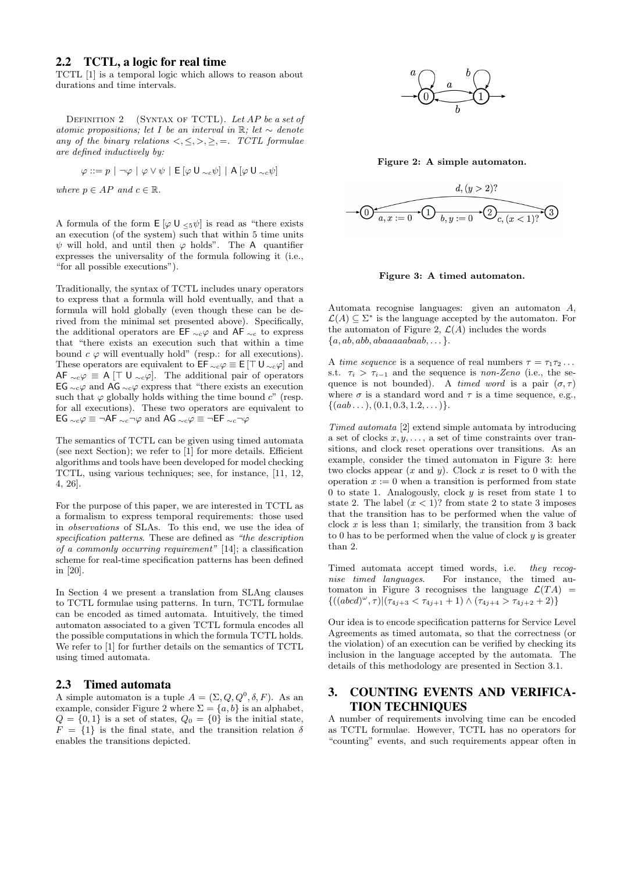### 2.2 TCTL, a logic for real time

TCTL [1] is a temporal logic which allows to reason about durations and time intervals.

DEFINITION 2 (SYNTAX OF TCTL). Let  $AP$  be a set of atomic propositions; let I be an interval in R; let  $\sim$  denote any of the binary relations  $\langle \leq, \geq, \geq, \geq, =$ . TCTL formulae are defined inductively by:

$$
\varphi ::= p \mid \neg \varphi \mid \varphi \vee \psi \mid \mathsf{E}\left[\varphi \mathsf{U}_{\neg c} \psi\right] \mid \mathsf{A}\left[\varphi \mathsf{U}_{\neg c} \psi\right]
$$

where  $p \in AP$  and  $c \in \mathbb{R}$ .

A formula of the form  $E[\varphi \cup \langle 5\psi]$  is read as "there exists" an execution (of the system) such that within 5 time units  $\psi$  will hold, and until then  $\varphi$  holds". The A quantifier expresses the universality of the formula following it (i.e., "for all possible executions").

Traditionally, the syntax of TCTL includes unary operators to express that a formula will hold eventually, and that a formula will hold globally (even though these can be derived from the minimal set presented above). Specifically, the additional operators are EF  $\sim_c \varphi$  and AF  $\sim_c$  to express that "there exists an execution such that within a time bound  $c \varphi$  will eventually hold" (resp.: for all executions). These operators are equivalent to  $\mathsf{EF}_{\sim c} \varphi \equiv \mathsf{E} [\top \mathsf{U}_{\sim c} \varphi]$  and AF  $\sim_c \varphi \equiv A \upharpoonright U \sim_c \varphi$ . The additional pair of operators EG  $\sim$ <sub>c</sub> $\varphi$  and AG  $\sim$ <sub>c</sub> $\varphi$  express that "there exists an execution such that  $\varphi$  globally holds withing the time bound c" (resp. for all executions). These two operators are equivalent to EG  $\sim_c$   $\varphi$   $\equiv$  ¬AF  $\sim_c$ ¬ $\varphi$  and AG  $\sim_c$   $\varphi$   $\equiv$  ¬EF  $\sim_c$ ¬ $\varphi$ 

The semantics of TCTL can be given using timed automata (see next Section); we refer to [1] for more details. Efficient algorithms and tools have been developed for model checking TCTL, using various techniques; see, for instance, [11, 12, 4, 26].

For the purpose of this paper, we are interested in TCTL as a formalism to express temporal requirements: those used in observations of SLAs. To this end, we use the idea of specification patterns. These are defined as "the description of a commonly occurring requirement" [14]; a classification scheme for real-time specification patterns has been defined in [20].

In Section 4 we present a translation from SLAng clauses to TCTL formulae using patterns. In turn, TCTL formulae can be encoded as timed automata. Intuitively, the timed automaton associated to a given TCTL formula encodes all the possible computations in which the formula TCTL holds. We refer to [1] for further details on the semantics of TCTL using timed automata.

### 2.3 Timed automata

A simple automaton is a tuple  $A = (\Sigma, Q, Q^0, \delta, F)$ . As an example, consider Figure 2 where  $\Sigma = \{a, b\}$  is an alphabet,  $Q = \{0, 1\}$  is a set of states,  $Q_0 = \{0\}$  is the initial state,  $F = \{1\}$  is the final state, and the transition relation  $\delta$ enables the transitions depicted.



Figure 2: A simple automaton.



Figure 3: A timed automaton.

Automata recognise languages: given an automaton A,  $\mathcal{L}(A) \subseteq \Sigma^*$  is the language accepted by the automaton. For the automaton of Figure 2,  $\mathcal{L}(A)$  includes the words  ${a, ab, abb, abaaaaabaab, \ldots}.$ 

A time sequence is a sequence of real numbers  $\tau = \tau_1 \tau_2 \ldots$ s.t.  $\tau_i > \tau_{i-1}$  and the sequence is non-Zeno (i.e., the sequence is not bounded). A timed word is a pair  $(\sigma, \tau)$ where  $\sigma$  is a standard word and  $\tau$  is a time sequence, e.g.,  $\{(aab \dots), (0.1, 0.3, 1.2, \dots)\}.$ 

Timed automata [2] extend simple automata by introducing a set of clocks  $x, y, \ldots$ , a set of time constraints over transitions, and clock reset operations over transitions. As an example, consider the timed automaton in Figure 3: here two clocks appear  $(x \text{ and } y)$ . Clock x is reset to 0 with the operation  $x := 0$  when a transition is performed from state 0 to state 1. Analogously, clock  $y$  is reset from state 1 to state 2. The label  $(x < 1)$ ? from state 2 to state 3 imposes that the transition has to be performed when the value of clock  $x$  is less than 1; similarly, the transition from 3 back to 0 has to be performed when the value of clock  $y$  is greater than 2.

Timed automata accept timed words, i.e. they recognise timed languages. For instance, the timed automaton in Figure 3 recognises the language  $\mathcal{L}(TA)$  =  $\{((abcd)^{\omega}, \tau) | (\tau_{4j+3} < \tau_{4j+1} + 1) \wedge (\tau_{4j+4} > \tau_{4j+2} + 2) \}$ 

Our idea is to encode specification patterns for Service Level Agreements as timed automata, so that the correctness (or the violation) of an execution can be verified by checking its inclusion in the language accepted by the automata. The details of this methodology are presented in Section 3.1.

# 3. COUNTING EVENTS AND VERIFICA-TION TECHNIQUES

A number of requirements involving time can be encoded as TCTL formulae. However, TCTL has no operators for "counting" events, and such requirements appear often in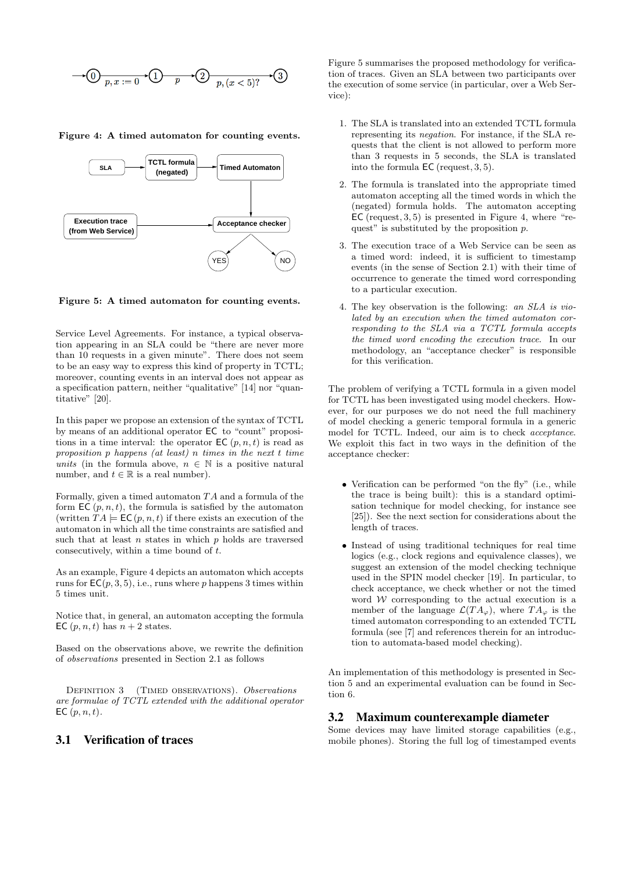$$
\longrightarrow \textcircled{1}_{p,x:=0} \longrightarrow \textcircled{1}_{p,(x<5)?} \longrightarrow \textcircled{3}
$$

Figure 4: A timed automaton for counting events.



Figure 5: A timed automaton for counting events.

Service Level Agreements. For instance, a typical observation appearing in an SLA could be "there are never more than 10 requests in a given minute". There does not seem to be an easy way to express this kind of property in TCTL; moreover, counting events in an interval does not appear as a specification pattern, neither "qualitative" [14] nor "quantitative" [20].

In this paper we propose an extension of the syntax of TCTL by means of an additional operator EC to "count" propositions in a time interval: the operator  $\mathsf{EC}(p, n, t)$  is read as proposition p happens (at least) n times in the next t time units (in the formula above,  $n \in \mathbb{N}$  is a positive natural number, and  $t \in \mathbb{R}$  is a real number).

Formally, given a timed automaton  $TA$  and a formula of the form  $\mathsf{EC}(p, n, t)$ , the formula is satisfied by the automaton (written  $TA \models \mathsf{EC}(p, n, t)$  if there exists an execution of the automaton in which all the time constraints are satisfied and such that at least  $n$  states in which  $p$  holds are traversed consecutively, within a time bound of t.

As an example, Figure 4 depicts an automaton which accepts runs for  $EC(p, 3, 5)$ , i.e., runs where p happens 3 times within 5 times unit.

Notice that, in general, an automaton accepting the formula EC  $(p, n, t)$  has  $n + 2$  states.

Based on the observations above, we rewrite the definition of observations presented in Section 2.1 as follows

DEFINITION 3 (TIMED OBSERVATIONS). Observations are formulae of TCTL extended with the additional operator EC  $(p, n, t)$ .

# 3.1 Verification of traces

Figure 5 summarises the proposed methodology for verification of traces. Given an SLA between two participants over the execution of some service (in particular, over a Web Service):

- 1. The SLA is translated into an extended TCTL formula representing its negation. For instance, if the SLA requests that the client is not allowed to perform more than 3 requests in 5 seconds, the SLA is translated into the formula EC (request, 3, 5).
- 2. The formula is translated into the appropriate timed automaton accepting all the timed words in which the (negated) formula holds. The automaton accepting  $\mathsf{EC}$  (request, 3, 5) is presented in Figure 4, where "request" is substituted by the proposition  $p$ .
- 3. The execution trace of a Web Service can be seen as a timed word: indeed, it is sufficient to timestamp events (in the sense of Section 2.1) with their time of occurrence to generate the timed word corresponding to a particular execution.
- 4. The key observation is the following: an SLA is violated by an execution when the timed automaton corresponding to the SLA via a TCTL formula accepts the timed word encoding the execution trace. In our methodology, an "acceptance checker" is responsible for this verification.

The problem of verifying a TCTL formula in a given model for TCTL has been investigated using model checkers. However, for our purposes we do not need the full machinery of model checking a generic temporal formula in a generic model for TCTL. Indeed, our aim is to check acceptance. We exploit this fact in two ways in the definition of the acceptance checker:

- Verification can be performed "on the fly" (i.e., while the trace is being built): this is a standard optimisation technique for model checking, for instance see [25]). See the next section for considerations about the length of traces.
- Instead of using traditional techniques for real time logics (e.g., clock regions and equivalence classes), we suggest an extension of the model checking technique used in the SPIN model checker [19]. In particular, to check acceptance, we check whether or not the timed word  $W$  corresponding to the actual execution is a member of the language  $\mathcal{L}(TA_{\varphi})$ , where  $TA_{\varphi}$  is the timed automaton corresponding to an extended TCTL formula (see [7] and references therein for an introduction to automata-based model checking).

An implementation of this methodology is presented in Section 5 and an experimental evaluation can be found in Section 6.

#### 3.2 Maximum counterexample diameter

Some devices may have limited storage capabilities (e.g., mobile phones). Storing the full log of timestamped events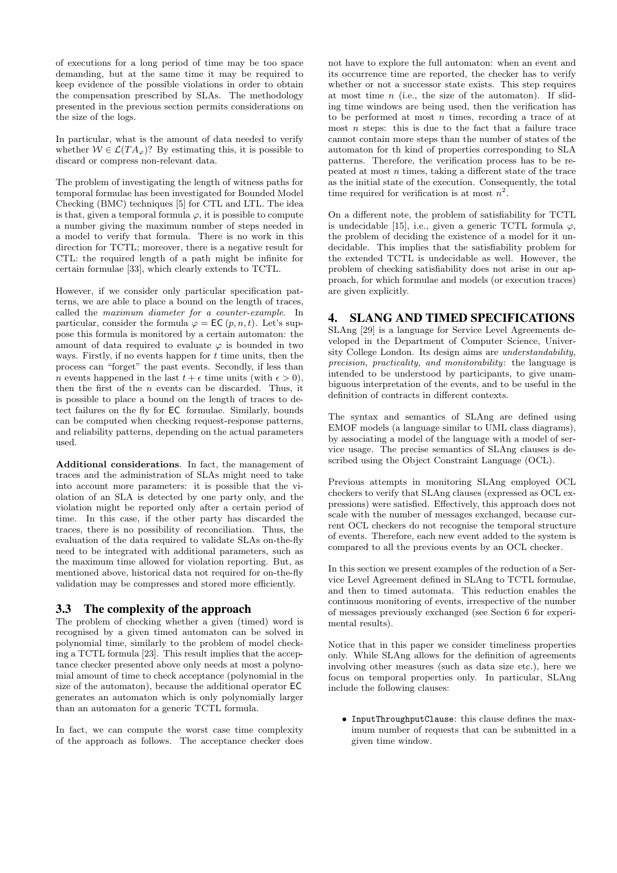of executions for a long period of time may be too space demanding, but at the same time it may be required to keep evidence of the possible violations in order to obtain the compensation prescribed by SLAs. The methodology presented in the previous section permits considerations on the size of the logs.

In particular, what is the amount of data needed to verify whether  $W \in \mathcal{L}(TA_{\varphi})$ ? By estimating this, it is possible to discard or compress non-relevant data.

The problem of investigating the length of witness paths for temporal formulae has been investigated for Bounded Model Checking (BMC) techniques [5] for CTL and LTL. The idea is that, given a temporal formula  $\varphi$ , it is possible to compute a number giving the maximum number of steps needed in a model to verify that formula. There is no work in this direction for TCTL; moreover, there is a negative result for CTL: the required length of a path might be infinite for certain formulae [33], which clearly extends to TCTL.

However, if we consider only particular specification patterns, we are able to place a bound on the length of traces, called the maximum diameter for a counter-example. In particular, consider the formula  $\varphi = \mathsf{EC}(p, n, t)$ . Let's suppose this formula is monitored by a certain automaton: the amount of data required to evaluate  $\varphi$  is bounded in two ways. Firstly, if no events happen for  $t$  time units, then the process can "forget" the past events. Secondly, if less than *n* events happened in the last  $t + \epsilon$  time units (with  $\epsilon > 0$ ), then the first of the  $n$  events can be discarded. Thus, it is possible to place a bound on the length of traces to detect failures on the fly for EC formulae. Similarly, bounds can be computed when checking request-response patterns, and reliability patterns, depending on the actual parameters used.

Additional considerations. In fact, the management of traces and the administration of SLAs might need to take into account more parameters: it is possible that the violation of an SLA is detected by one party only, and the violation might be reported only after a certain period of time. In this case, if the other party has discarded the traces, there is no possibility of reconciliation. Thus, the evaluation of the data required to validate SLAs on-the-fly need to be integrated with additional parameters, such as the maximum time allowed for violation reporting. But, as mentioned above, historical data not required for on-the-fly validation may be compresses and stored more efficiently.

# 3.3 The complexity of the approach

The problem of checking whether a given (timed) word is recognised by a given timed automaton can be solved in polynomial time, similarly to the problem of model checking a TCTL formula [23]. This result implies that the acceptance checker presented above only needs at most a polynomial amount of time to check acceptance (polynomial in the size of the automaton), because the additional operator EC generates an automaton which is only polynomially larger than an automaton for a generic TCTL formula.

In fact, we can compute the worst case time complexity of the approach as follows. The acceptance checker does

not have to explore the full automaton: when an event and its occurrence time are reported, the checker has to verify whether or not a successor state exists. This step requires at most time  $n$  (i.e., the size of the automaton). If sliding time windows are being used, then the verification has to be performed at most  $n$  times, recording a trace of at most  $n$  steps: this is due to the fact that a failure trace cannot contain more steps than the number of states of the automaton for th kind of properties corresponding to SLA patterns. Therefore, the verification process has to be repeated at most  $n$  times, taking a different state of the trace as the initial state of the execution. Consequently, the total time required for verification is at most  $n^2$ .

On a different note, the problem of satisfiability for TCTL is undecidable [15], i.e., given a generic TCTL formula  $\varphi$ , the problem of deciding the existence of a model for it undecidable. This implies that the satisfiability problem for the extended TCTL is undecidable as well. However, the problem of checking satisfiability does not arise in our approach, for which formulae and models (or execution traces) are given explicitly.

# 4. SLANG AND TIMED SPECIFICATIONS

SLAng [29] is a language for Service Level Agreements developed in the Department of Computer Science, University College London. Its design aims are understandability, precision, practicality, and monitorability: the language is intended to be understood by participants, to give unambiguous interpretation of the events, and to be useful in the definition of contracts in different contexts.

The syntax and semantics of SLAng are defined using EMOF models (a language similar to UML class diagrams), by associating a model of the language with a model of service usage. The precise semantics of SLAng clauses is described using the Object Constraint Language (OCL).

Previous attempts in monitoring SLAng employed OCL checkers to verify that SLAng clauses (expressed as OCL expressions) were satisfied. Effectively, this approach does not scale with the number of messages exchanged, because current OCL checkers do not recognise the temporal structure of events. Therefore, each new event added to the system is compared to all the previous events by an OCL checker.

In this section we present examples of the reduction of a Service Level Agreement defined in SLAng to TCTL formulae, and then to timed automata. This reduction enables the continuous monitoring of events, irrespective of the number of messages previously exchanged (see Section 6 for experimental results).

Notice that in this paper we consider timeliness properties only. While SLAng allows for the definition of agreements involving other measures (such as data size etc.), here we focus on temporal properties only. In particular, SLAng include the following clauses:

• InputThroughputClause: this clause defines the maximum number of requests that can be submitted in a given time window.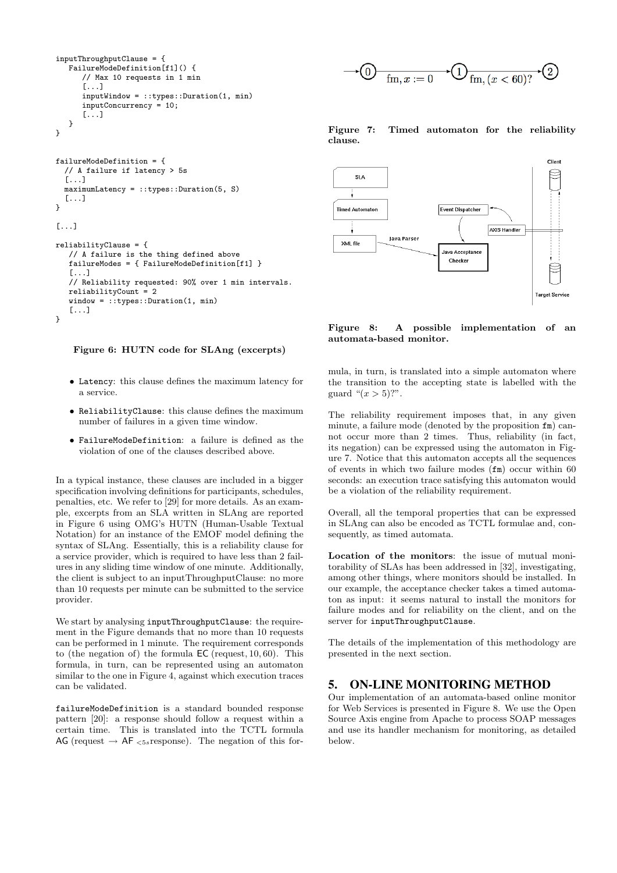```
inputThroughputClause = {
  FailureModeDefinition[f1]() {
      // Max 10 requests in 1 min
      [...]
      inputWindow = ::types::Duration(1, min)
      inputConcurrency = 10;
      [...]
  }
}
```

```
failureModeDefinition = {
  // A failure if latency > 5s
  [...]
 maximumLatency = ::types::Duration(5, S)[...]
}
[...]
reliabilityClause = {
  // A failure is the thing defined above
   failureModes = { FailureModeDefinition[f1] }
   [...]
   // Reliability requested: 90% over 1 min intervals.
   reliabilityCount = 2window = ::types::Duration(1, min)
   [...]
}
```
### Figure 6: HUTN code for SLAng (excerpts)

- Latency: this clause defines the maximum latency for a service.
- ReliabilityClause: this clause defines the maximum number of failures in a given time window.
- FailureModeDefinition: a failure is defined as the violation of one of the clauses described above.

In a typical instance, these clauses are included in a bigger specification involving definitions for participants, schedules, penalties, etc. We refer to [29] for more details. As an example, excerpts from an SLA written in SLAng are reported in Figure 6 using OMG's HUTN (Human-Usable Textual Notation) for an instance of the EMOF model defining the syntax of SLAng. Essentially, this is a reliability clause for a service provider, which is required to have less than 2 failures in any sliding time window of one minute. Additionally, the client is subject to an inputThroughputClause: no more than 10 requests per minute can be submitted to the service provider.

We start by analysing inputThroughputClause: the requirement in the Figure demands that no more than 10 requests can be performed in 1 minute. The requirement corresponds to (the negation of) the formula EC (request, 10, 60). This formula, in turn, can be represented using an automaton similar to the one in Figure 4, against which execution traces can be validated.

failureModeDefinition is a standard bounded response pattern [20]: a response should follow a request within a certain time. This is translated into the TCTL formula AG (request  $\rightarrow$  AF  $_{5s}$  response). The negation of this for-



Figure 7: Timed automaton for the reliability clause.



#### Figure 8: A possible implementation of an automata-based monitor.

mula, in turn, is translated into a simple automaton where the transition to the accepting state is labelled with the guard " $(x > 5)$ ?".

The reliability requirement imposes that, in any given minute, a failure mode (denoted by the proposition fm) cannot occur more than 2 times. Thus, reliability (in fact, its negation) can be expressed using the automaton in Figure 7. Notice that this automaton accepts all the sequences of events in which two failure modes (fm) occur within 60 seconds: an execution trace satisfying this automaton would be a violation of the reliability requirement.

Overall, all the temporal properties that can be expressed in SLAng can also be encoded as TCTL formulae and, consequently, as timed automata.

Location of the monitors: the issue of mutual monitorability of SLAs has been addressed in [32], investigating, among other things, where monitors should be installed. In our example, the acceptance checker takes a timed automaton as input: it seems natural to install the monitors for failure modes and for reliability on the client, and on the server for inputThroughputClause.

The details of the implementation of this methodology are presented in the next section.

### 5. ON-LINE MONITORING METHOD

Our implementation of an automata-based online monitor for Web Services is presented in Figure 8. We use the Open Source Axis engine from Apache to process SOAP messages and use its handler mechanism for monitoring, as detailed below.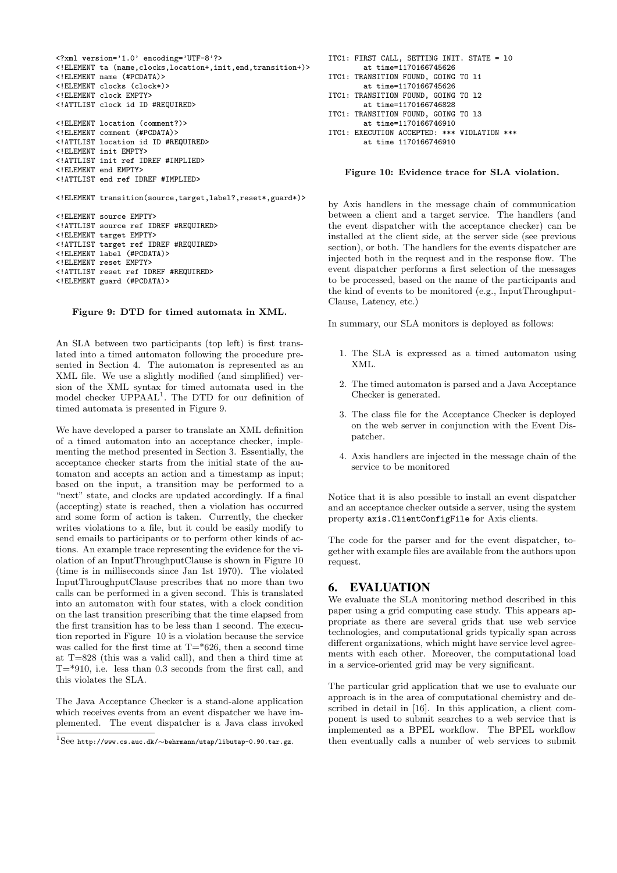```
<?xml version='1.0' encoding='UTF-8'?>
<!ELEMENT ta (name,clocks,location+,init,end,transition+)>
<!ELEMENT name (#PCDATA)>
<!ELEMENT clocks (clock*)>
<!ELEMENT clock EMPTY>
<!ATTLIST clock id ID #REQUIRED>
<!ELEMENT location (comment?)>
<!ELEMENT comment (#PCDATA)>
<!ATTLIST location id ID #REQUIRED>
<!ELEMENT init EMPTY>
<!ATTLIST init ref IDREF #IMPLIED>
<!ELEMENT end EMPTY>
<!ATTLIST end ref IDREF #IMPLIED>
<!ELEMENT transition(source,target,label?,reset*,guard*)>
<!ELEMENT source EMPTY>
<!ATTLIST source ref IDREF #REQUIRED>
<!ELEMENT target EMPTY>
<!ATTLIST target ref IDREF #REQUIRED>
<!ELEMENT label (#PCDATA)>
<!ELEMENT reset EMPTY>
<!ATTLIST reset ref IDREF #REQUIRED>
```
#### Figure 9: DTD for timed automata in XML.

<!ELEMENT guard (#PCDATA)>

An SLA between two participants (top left) is first translated into a timed automaton following the procedure presented in Section 4. The automaton is represented as an XML file. We use a slightly modified (and simplified) version of the XML syntax for timed automata used in the model checker UPPAAL<sup>1</sup>. The DTD for our definition of timed automata is presented in Figure 9.

We have developed a parser to translate an XML definition of a timed automaton into an acceptance checker, implementing the method presented in Section 3. Essentially, the acceptance checker starts from the initial state of the automaton and accepts an action and a timestamp as input; based on the input, a transition may be performed to a "next" state, and clocks are updated accordingly. If a final (accepting) state is reached, then a violation has occurred and some form of action is taken. Currently, the checker writes violations to a file, but it could be easily modify to send emails to participants or to perform other kinds of actions. An example trace representing the evidence for the violation of an InputThroughputClause is shown in Figure 10 (time is in milliseconds since Jan 1st 1970). The violated InputThroughputClause prescribes that no more than two calls can be performed in a given second. This is translated into an automaton with four states, with a clock condition on the last transition prescribing that the time elapsed from the first transition has to be less than 1 second. The execution reported in Figure 10 is a violation because the service was called for the first time at  $T=$ \*626, then a second time at T=828 (this was a valid call), and then a third time at  $T=$ \*910, i.e. less than 0.3 seconds from the first call, and this violates the SLA.

The Java Acceptance Checker is a stand-alone application which receives events from an event dispatcher we have implemented. The event dispatcher is a Java class invoked

```
ITC1: FIRST CALL, SETTING INIT. STATE = l0
        at time=1170166745626
ITC1: TRANSITION FOUND, GOING TO l1
        at time=1170166745626
ITC1: TRANSITION FOUND, GOING TO l2
        at time=1170166746828
ITC1: TRANSITION FOUND, GOING TO l3
        at time=1170166746910
ITC1: EXECUTION ACCEPTED: *** VIOLATION ***
        at time 1170166746910
```
Figure 10: Evidence trace for SLA violation.

by Axis handlers in the message chain of communication between a client and a target service. The handlers (and the event dispatcher with the acceptance checker) can be installed at the client side, at the server side (see previous section), or both. The handlers for the events dispatcher are injected both in the request and in the response flow. The event dispatcher performs a first selection of the messages to be processed, based on the name of the participants and the kind of events to be monitored (e.g., InputThroughput-Clause, Latency, etc.)

In summary, our SLA monitors is deployed as follows:

- 1. The SLA is expressed as a timed automaton using XML.
- 2. The timed automaton is parsed and a Java Acceptance Checker is generated.
- 3. The class file for the Acceptance Checker is deployed on the web server in conjunction with the Event Dispatcher.
- 4. Axis handlers are injected in the message chain of the service to be monitored

Notice that it is also possible to install an event dispatcher and an acceptance checker outside a server, using the system property axis.ClientConfigFile for Axis clients.

The code for the parser and for the event dispatcher, together with example files are available from the authors upon request.

### 6. EVALUATION

We evaluate the SLA monitoring method described in this paper using a grid computing case study. This appears appropriate as there are several grids that use web service technologies, and computational grids typically span across different organizations, which might have service level agreements with each other. Moreover, the computational load in a service-oriented grid may be very significant.

The particular grid application that we use to evaluate our approach is in the area of computational chemistry and described in detail in [16]. In this application, a client component is used to submit searches to a web service that is implemented as a BPEL workflow. The BPEL workflow then eventually calls a number of web services to submit

 $^{1}$ See http://www.cs.auc.dk/∼behrmann/utap/libutap-0.90.tar.gz.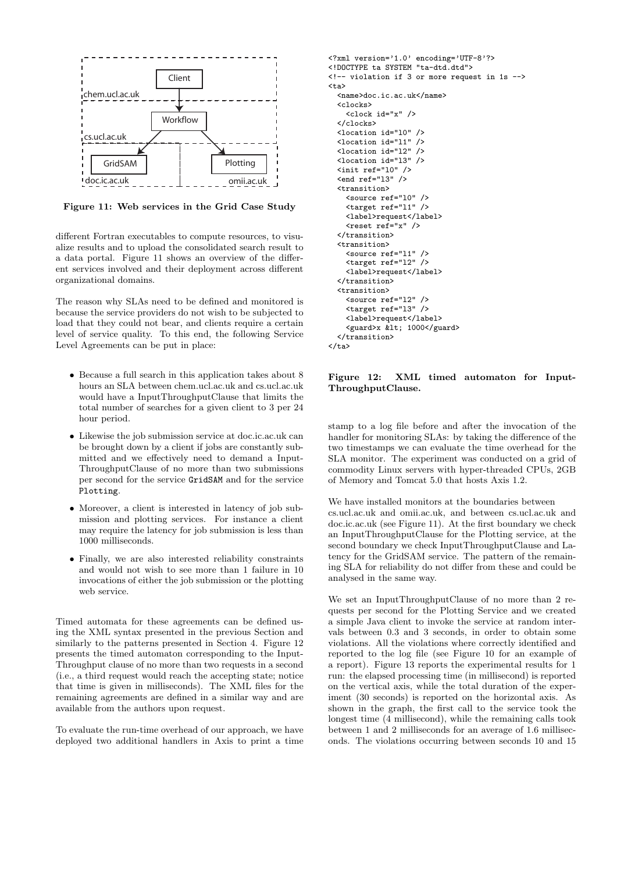

Figure 11: Web services in the Grid Case Study

different Fortran executables to compute resources, to visualize results and to upload the consolidated search result to a data portal. Figure 11 shows an overview of the different services involved and their deployment across different organizational domains.

The reason why SLAs need to be defined and monitored is because the service providers do not wish to be subjected to load that they could not bear, and clients require a certain level of service quality. To this end, the following Service Level Agreements can be put in place:

- Because a full search in this application takes about 8 hours an SLA between chem.ucl.ac.uk and cs.ucl.ac.uk would have a InputThroughputClause that limits the total number of searches for a given client to 3 per 24 hour period.
- Likewise the job submission service at doc.ic.ac.uk can be brought down by a client if jobs are constantly submitted and we effectively need to demand a Input-ThroughputClause of no more than two submissions per second for the service GridSAM and for the service Plotting.
- Moreover, a client is interested in latency of job submission and plotting services. For instance a client may require the latency for job submission is less than 1000 milliseconds.
- Finally, we are also interested reliability constraints and would not wish to see more than 1 failure in 10 invocations of either the job submission or the plotting web service.

Timed automata for these agreements can be defined using the XML syntax presented in the previous Section and similarly to the patterns presented in Section 4. Figure 12 presents the timed automaton corresponding to the Input-Throughput clause of no more than two requests in a second (i.e., a third request would reach the accepting state; notice that time is given in milliseconds). The XML files for the remaining agreements are defined in a similar way and are available from the authors upon request.

To evaluate the run-time overhead of our approach, we have deployed two additional handlers in Axis to print a time

```
<?xml version='1.0' encoding='UTF-8'?>
<!DOCTYPE ta SYSTEM "ta-dtd.dtd">
<!-- violation if 3 or more request in 1s -->
<ta>
  <name>doc.ic.ac.uk</name>
  <clocks>
    <clock id="x" />
  </clocks>
  <location id="l0" />
  \lambda <location id="11" /><br>\lambda <location id="12" />
  <sub>location id="12"</sub>
  <location id="l3" />
  <init ref="l0" />
  \text{~end} ref="13" />
  <transition>
    <source ref="l0" />
    <target ref="l1" />
    <label>request</label>
    <reset ref="x" />
  </transition>
  <transition>
    <source ref="l1" />
    <target ref="l2" />
    <label>request</label>
  </transition>
  <transition>
    <source ref="l2" />
    <target ref="l3" />
    <label>request</label>
    <guard>x &lt; 1000</guard>
  </transition>
\langleta>
```
#### Figure 12: XML timed automaton for Input-ThroughputClause.

stamp to a log file before and after the invocation of the handler for monitoring SLAs: by taking the difference of the two timestamps we can evaluate the time overhead for the SLA monitor. The experiment was conducted on a grid of commodity Linux servers with hyper-threaded CPUs, 2GB of Memory and Tomcat 5.0 that hosts Axis 1.2.

We have installed monitors at the boundaries between cs.ucl.ac.uk and omii.ac.uk, and between cs.ucl.ac.uk and doc.ic.ac.uk (see Figure 11). At the first boundary we check an InputThroughputClause for the Plotting service, at the second boundary we check InputThroughputClause and Latency for the GridSAM service. The pattern of the remaining SLA for reliability do not differ from these and could be analysed in the same way.

We set an InputThroughputClause of no more than 2 requests per second for the Plotting Service and we created a simple Java client to invoke the service at random intervals between 0.3 and 3 seconds, in order to obtain some violations. All the violations where correctly identified and reported to the log file (see Figure 10 for an example of a report). Figure 13 reports the experimental results for 1 run: the elapsed processing time (in millisecond) is reported on the vertical axis, while the total duration of the experiment (30 seconds) is reported on the horizontal axis. As shown in the graph, the first call to the service took the longest time (4 millisecond), while the remaining calls took between 1 and 2 milliseconds for an average of 1.6 milliseconds. The violations occurring between seconds 10 and 15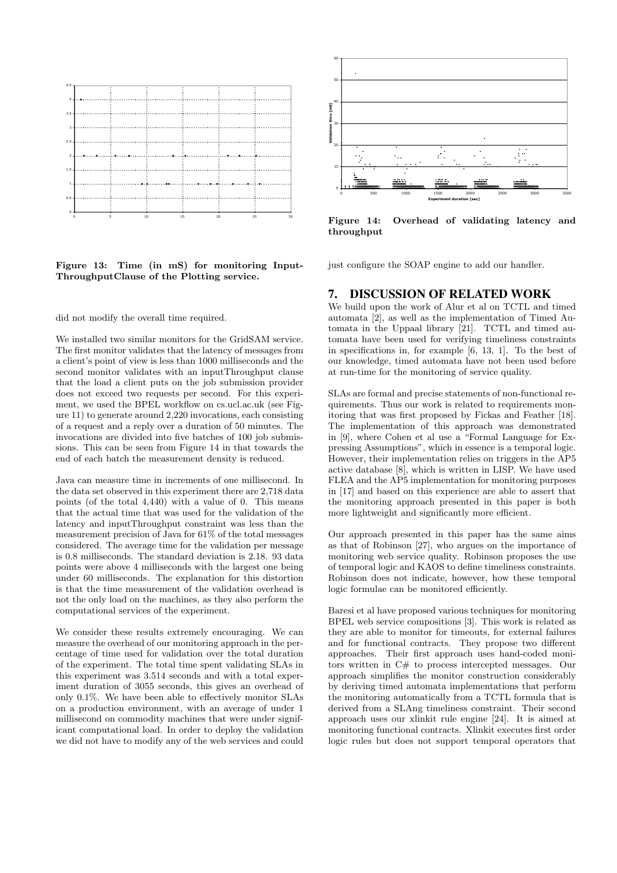

Figure 13: Time (in mS) for monitoring Input-ThroughputClause of the Plotting service.

did not modify the overall time required.

We installed two similar monitors for the GridSAM service. The first monitor validates that the latency of messages from a client's point of view is less than 1000 milliseconds and the second monitor validates with an inputThroughput clause that the load a client puts on the job submission provider does not exceed two requests per second. For this experiment, we used the BPEL workflow on cs.ucl.ac.uk (see Figure 11) to generate around 2,220 invocations, each consisting of a request and a reply over a duration of 50 minutes. The invocations are divided into five batches of 100 job submissions. This can be seen from Figure 14 in that towards the end of each batch the measurement density is reduced.

Java can measure time in increments of one millisecond. In the data set observed in this experiment there are 2,718 data points (of the total 4,440) with a value of 0. This means that the actual time that was used for the validation of the latency and inputThroughput constraint was less than the measurement precision of Java for 61% of the total messages considered. The average time for the validation per message is 0.8 milliseconds. The standard deviation is 2.18. 93 data points were above 4 milliseconds with the largest one being under 60 milliseconds. The explanation for this distortion is that the time measurement of the validation overhead is not the only load on the machines, as they also perform the computational services of the experiment. Figure 13: Time (in mS) for monitoring Input-<br>Throughput<br>Clause of the Plotting service. The modify and and not modify the overall time required. We installed two similar monitors for the GridSAM service. The first monito

We consider these results extremely encouraging. We can measure the overhead of our monitoring approach in the percentage of time used for validation over the total duration of the experiment. The total time spent validating SLAs in this experiment was 3.514 seconds and with a total experiment duration of 3055 seconds, this gives an overhead of only 0.1%. We have been able to effectively monitor SLAs on a production environment, with an average of under 1 millisecond on commodity machines that were under significant computational load. In order to deploy the validation



Figure 14: Overhead of validating latency and throughput

just configure the SOAP engine to add our handler.

#### 7. DISCUSSION OF RELATED WORK

We build upon the work of Alur et al on TCTL and timed automata [2], as well as the implementation of Timed Automata in the Uppaal library [21]. TCTL and timed automata have been used for verifying timeliness constraints in specifications in, for example [6, 13, 1]. To the best of our knowledge, timed automata have not been used before at run-time for the monitoring of service quality.

SLAs are formal and precise statements of non-functional requirements. Thus our work is related to requirements monitoring that was first proposed by Fickas and Feather [18]. The implementation of this approach was demonstrated in [9], where Cohen et al use a "Formal Language for Expressing Assumptions", which in essence is a temporal logic. However, their implementation relies on triggers in the AP5 active database [8], which is written in LISP. We have used FLEA and the AP5 implementation for monitoring purposes in [17] and based on this experience are able to assert that the monitoring approach presented in this paper is both more lightweight and significantly more efficient.

Our approach presented in this paper has the same aims as that of Robinson [27], who argues on the importance of monitoring web service quality. Robinson proposes the use of temporal logic and KAOS to define timeliness constraints. Robinson does not indicate, however, how these temporal logic formulae can be monitored efficiently.

Baresi et al have proposed various techniques for monitoring BPEL web service compositions [3]. This work is related as they are able to monitor for timeouts, for external failures and for functional contracts. They propose two different approaches. Their first approach uses hand-coded monitors written in C# to process intercepted messages. Our approach simplifies the monitor construction considerably by deriving timed automata implementations that perform the monitoring automatically from a TCTL formula that is derived from a SLAng timeliness constraint. Their second approach uses our xlinkit rule engine [24]. It is aimed at monitoring functional contracts. Xlinkit executes first order logic rules but does not support temporal operators that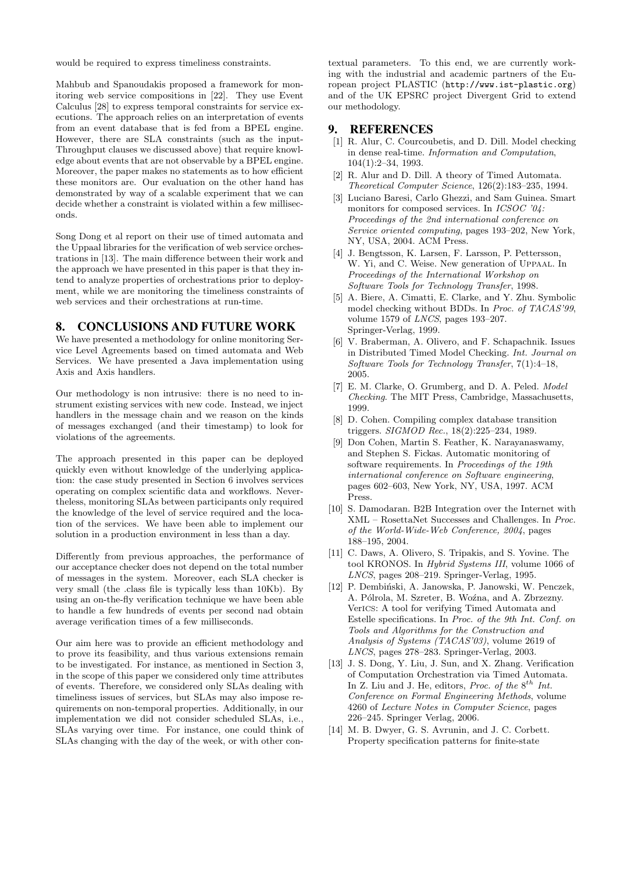would be required to express timeliness constraints.

Mahbub and Spanoudakis proposed a framework for monitoring web service compositions in [22]. They use Event Calculus [28] to express temporal constraints for service executions. The approach relies on an interpretation of events from an event database that is fed from a BPEL engine. However, there are SLA constraints (such as the input-Throughput clauses we discussed above) that require knowledge about events that are not observable by a BPEL engine. Moreover, the paper makes no statements as to how efficient these monitors are. Our evaluation on the other hand has demonstrated by way of a scalable experiment that we can decide whether a constraint is violated within a few milliseconds.

Song Dong et al report on their use of timed automata and the Uppaal libraries for the verification of web service orchestrations in [13]. The main difference between their work and the approach we have presented in this paper is that they intend to analyze properties of orchestrations prior to deployment, while we are monitoring the timeliness constraints of web services and their orchestrations at run-time.

# 8. CONCLUSIONS AND FUTURE WORK

We have presented a methodology for online monitoring Service Level Agreements based on timed automata and Web Services. We have presented a Java implementation using Axis and Axis handlers.

Our methodology is non intrusive: there is no need to instrument existing services with new code. Instead, we inject handlers in the message chain and we reason on the kinds of messages exchanged (and their timestamp) to look for violations of the agreements.

The approach presented in this paper can be deployed quickly even without knowledge of the underlying application: the case study presented in Section 6 involves services operating on complex scientific data and workflows. Nevertheless, monitoring SLAs between participants only required the knowledge of the level of service required and the location of the services. We have been able to implement our solution in a production environment in less than a day.

Differently from previous approaches, the performance of our acceptance checker does not depend on the total number of messages in the system. Moreover, each SLA checker is very small (the .class file is typically less than 10Kb). By using an on-the-fly verification technique we have been able to handle a few hundreds of events per second nad obtain average verification times of a few milliseconds.

Our aim here was to provide an efficient methodology and to prove its feasibility, and thus various extensions remain to be investigated. For instance, as mentioned in Section 3, in the scope of this paper we considered only time attributes of events. Therefore, we considered only SLAs dealing with timeliness issues of services, but SLAs may also impose requirements on non-temporal properties. Additionally, in our implementation we did not consider scheduled SLAs, i.e., SLAs varying over time. For instance, one could think of SLAs changing with the day of the week, or with other con-

textual parameters. To this end, we are currently working with the industrial and academic partners of the European project PLASTIC (http://www.ist-plastic.org) and of the UK EPSRC project Divergent Grid to extend our methodology.

#### 9. REFERENCES

- [1] R. Alur, C. Courcoubetis, and D. Dill. Model checking in dense real-time. Information and Computation, 104(1):2–34, 1993.
- [2] R. Alur and D. Dill. A theory of Timed Automata. Theoretical Computer Science, 126(2):183–235, 1994.
- [3] Luciano Baresi, Carlo Ghezzi, and Sam Guinea. Smart monitors for composed services. In *ICSOC* '04: Proceedings of the 2nd international conference on Service oriented computing, pages 193–202, New York, NY, USA, 2004. ACM Press.
- [4] J. Bengtsson, K. Larsen, F. Larsson, P. Pettersson, W. Yi, and C. Weise. New generation of Uppaal. In Proceedings of the International Workshop on Software Tools for Technology Transfer, 1998.
- [5] A. Biere, A. Cimatti, E. Clarke, and Y. Zhu. Symbolic model checking without BDDs. In Proc. of TACAS'99, volume 1579 of LNCS, pages 193–207. Springer-Verlag, 1999.
- [6] V. Braberman, A. Olivero, and F. Schapachnik. Issues in Distributed Timed Model Checking. Int. Journal on Software Tools for Technology Transfer, 7(1):4–18, 2005.
- [7] E. M. Clarke, O. Grumberg, and D. A. Peled. Model Checking. The MIT Press, Cambridge, Massachusetts, 1999.
- [8] D. Cohen. Compiling complex database transition triggers. SIGMOD Rec., 18(2):225–234, 1989.
- [9] Don Cohen, Martin S. Feather, K. Narayanaswamy, and Stephen S. Fickas. Automatic monitoring of software requirements. In Proceedings of the 19th international conference on Software engineering, pages 602–603, New York, NY, USA, 1997. ACM Press.
- [10] S. Damodaran. B2B Integration over the Internet with XML – RosettaNet Successes and Challenges. In Proc. of the World-Wide-Web Conference, 2004, pages 188–195, 2004.
- [11] C. Daws, A. Olivero, S. Tripakis, and S. Yovine. The tool KRONOS. In Hybrid Systems III, volume 1066 of LNCS, pages 208–219. Springer-Verlag, 1995.
- [12] P. Dembiński, A. Janowska, P. Janowski, W. Penczek, A. Pólrola, M. Szreter, B. Woźna, and A. Zbrzezny. VerICS: A tool for verifying Timed Automata and Estelle specifications. In Proc. of the 9th Int. Conf. on Tools and Algorithms for the Construction and Analysis of Systems (TACAS'03), volume 2619 of LNCS, pages 278–283. Springer-Verlag, 2003.
- [13] J. S. Dong, Y. Liu, J. Sun, and X. Zhang. Verification of Computation Orchestration via Timed Automata. In Z. Liu and J. He, editors, Proc. of the  $8^{th}$  Int. Conference on Formal Engineering Methods, volume 4260 of Lecture Notes in Computer Science, pages 226–245. Springer Verlag, 2006.
- [14] M. B. Dwyer, G. S. Avrunin, and J. C. Corbett. Property specification patterns for finite-state